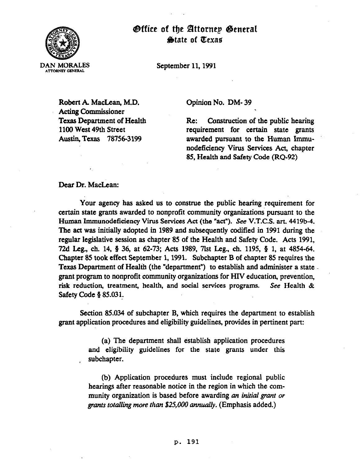

@ffice of tfie IZlttornep @eneral Qtate of @exae

September 11.1991

Robert A MacLean, M.D. Acting Commissioner Texas Department of Health 1100 West 49th Street Austin, Texas 787563199

Opinion No. DM- 39

Re: Construction of the public hearing requirement for certain state grants awarded pursuant to the Human Immunodeficiency Virus Services Act, chapter 85, Health and Safety Code (RQ-92)

## Dear Dr. MacLean:

Your agency has asked us to construe the public hearing requirement for certain state grants awarded to nonprofit community organizations pursuant to the Human Immunodeficiency Virus Services Act (the "act"). See V.T.C.S. art. 4419b-4. The act was initially adopted in 1989 and subsequently codified in 1991 during the regular legislative session as chapter 85 of the Health and Safety Code. Acts 1991, 72d Leg., ch. 14, # 36, at 62-73; Acts 1989, 7lst Leg., ch. 1195, 8 1, at 4854-64. Chapter 85 took effect September 1,199l. Subchapter B of chapter 85 requires the Texas Department of Health (the "department") to establish and administer a state. grant program to nonprofit community organizations for HIV education, prevention, risk reduction, treatment, health, and social services programs. See Health & Safety Code § 85.031.

Section 85.034 of subchapter B, which requires the department to establish grant application procedures and eligibility guidelines, provides in pertinent part:

> (a) The department shall establish application procedures and eligibility guidelines for the state grants under this subchapter.

> (b) Application procedures must include regional public hearings after reasonable notice in the region in which the community organization is based before awarding an *initial grant or*  grants *totalling more than \$25,000 annually*. (Emphasis added.)

## p. **191**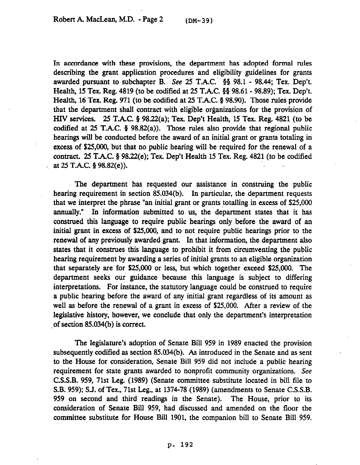In accordance with these provisions, the department has adopted formal rules describing the grant application procedures and eligibility guidelines for grants awarded pursuant to subchapter B. See 25 T.A.C. §§ 98.1 - 98.44; Tex. Dep't. Health, 15 Tex. Reg. 4819 (to be codified at 25 T.A.C. 8s 98.61- 98.89); Tex. Dep't. Health, 16 Tex. Reg. 971 (to be codified at 25 T.A.C. § 98.90). Those rules provide that the department shall contract with eligible organizations for the provision of HIV services. 25 T.A.C. 5 98.22(a); Tex. Dep't Health, 15 Tex. Reg. 4821 (to be codified at 25 T.A.C.  $\S$  98.82(a)). Those rules also provide that regional public hearings will be conducted before the award of an initial grant or grants totaling in excess of \$25,000, but that no public hearing will be required for the renewal of a contract. 25 T.A.C.  $\S$  98.22(e); Tex. Dep't Health 15 Tex. Reg. 4821 (to be codified at  $25$  T.A.C.  $\S$  98.82(e)).

The department has requested our assistance in construing the public hearing requirement in section  $85.034(b)$ . In particular, the department requests that we interpret the phrase "an initial grant or grants totalling in excess of \$25,000 annually." In information submitted to us, the department states that it has construed this language to require public hearings only before the award of an initial grant in excess of \$25,000, and to not require public hearings prior to the renewal of any previously awarded grant. In that information, the department also states that it construes this language to prohibit it from circumventing the public hearing requirement by awarding a series of initial grants to an eligible organization that separately are for \$25,000 or less, but which together exceed \$25,000. The department seeks our guidance because this language is subject to differing interpretations. For instance, the statutory language could be construed to require a public. hearing before the award of any initial grant regardless of its amount as well as before the renewal of a grant in excess of \$25,000. After a review of the legislative history, however, we conclude that only the department's interpretation of section 85.034(b) is correct.

The legislature's adoption of Senate Bill 959 in 1989 enacted the provision subsequently codified as section 85.034(b). As introduced in the Senate and as sent to the House for consideration, Senate Bill 959 did not include a public hearing requirement for state grants awarded to nonprofit community organizations. See C.S.S.B. 959, 71st Leg. (1989) (Senate committee substitute located in bill file to S.B. 959); S.J. of Tex., 71st Leg., at 1374-78 (1989) (amendments to Senate C.S.S.B. 959 on second and third readings in the Senate). The House, prior to its consideration of Senate Bill 959, had discussed and amended on the floor the committee substitute for House Bill 1901, the companion bill to Senate Bill 959.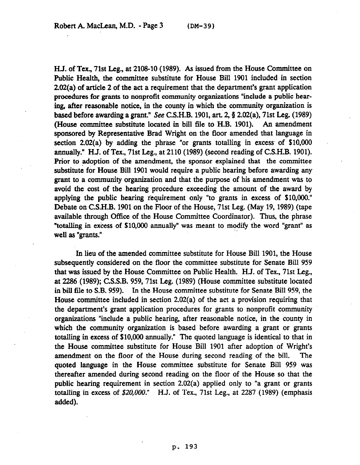HJ. of Tex., 71st Leg., at 2108-10 (1989). As issued from the House Committee on Public Health, the committee substitute for House Bill 1901 included in section 2.02(a) of article 2 of the act a requirement that the department's grant application procedures for grants to nonprofit community organizations "include a public hearing, after reasonable notice, in the county in which the community organization is based before awarding a grant." See C.S.H.B. 1901, art. 2,  $\S$  2.02(a), 71st Leg. (1989) (House committee substitute located in bill file to H.B. 1901). An amendment sponsored by Representative Brad Wright on the floor amended that language in section 2.02(a) by adding the phrase "or grants totalling in excess' of \$10,000 annually." HJ. of Tex., 71st Leg., at 2110 (1989) (second reading of C.S.H.B. 1901). Prior to adoption of the amendment, the sponsor explained that the committee substitute for House Bill 1901 would require a public hearing before awarding any grant to a community organization and that the purpose of his amendment was to avoid the cost of the hearing procedure exceeding the amount of the award by applying the public hearing requirement only "to grants in excess of \$10,000." Debate on C.S.H.B. 1901 on the Ploor of the House, 71st Leg. (May 19, 1989) (tape available through Office of the House Committee Coordinator). Thus, the phrase "totalling in excess of \$10,000 annually" was meant to modify the word "grant" as well as "grants."

In lieu of the amended committee substitute for House Bill 1901, the House subsequently considered on the floor the committee substitute for Senate Bill 959 that was issued by the House Committee on Public Health. HJ. of Tex., 71st Leg., at 2286 (1989); C.S.S.B. 959,71st Leg. (1989) (House committee substitute located in bill file to S.B. 959). In the House committee substitute for Senate Bill 959, the House committee included in section 2.02(a) of the act a provision requiring that the department's grant application procedures for grants to nonprofit community organizations "include a public hearing, after reasonable notice, in the county in which the community organization is based before awarding a grant or grants totalling in excess of \$10,000 annually." The quoted language is identical to that in the House committee substitute for House Bill 1901 after adoption of Wright's amendment on the floor of the House during second reading of the bill. The quoted language in the House committee substitute for Senate Bill 959 was thereafter amended during second reading on the floor of the House so that the public hearing requirement in section 2.02(a) applied only to "a grant or grants totalling in excess of \$20,000." H.J. of Tex., 71st Leg., at 2287 (1989) (emphasis added).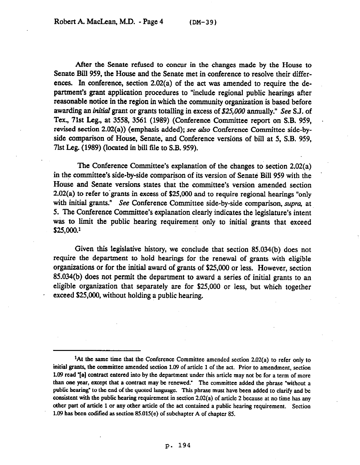After the Senate refused to concur in the changes made by the House to Senate Bill 959, the House and the Senate met in conference to resolve their differences. In conference, section 2.02(a) of the act was amended to require the department's grant application procedures to "include regional public hearings after reasonable notice in the region in which the community organization is based before awarding an initial grant or grants totalling in excess of \$25,000 annually." See S.J. of Tex., 71st Leg., at 3558, 3561 (1989) (Conference Committee report on S.B. 959, revised section 2.02(a)) (emphasis added); see ako Conference Committee side-byside comparison of House, Senate, and Conference versions of bill at 5, S.B. 959, 71st Leg. (1989) (located in bill file to S.B. 959).

The Conference Committee's explanation of the changes to section 2.02(a) in the committee's side-by-side comparison of its version of Senate Bill 959 with the House and Senate versions states that the committee's version amended section  $2.02(a)$  to refer to grants in excess of \$25,000 and to require regional hearings "only with initial grants." See Conference Committee side-by-side comparison, *supra,* at 5. The Conference Committee's explanation clearly indicates the legislature's intent was to limit the public hearing requirement only to initial grants that exceed S25,ooo.'

Given this iegislative history, we conclude that section 85.034(b) does not require the department to hold hearings for the renewal of grants with eligible organizations or for the initial award of grants of \$25,000 or less. However, section 85.034(b) does not permit the department to award a series of initial grants to an eligible organization that separately are for \$25,000 or less, but which together exceed \$25,000, without holding a public hearing.

<sup>&</sup>lt;sup>1</sup>At the same time that the Conference Committee amended section 2.02(a) to refer only to **initial grants, the committee amended section 1.09 of article 1 of the act. Prior to amendment, section 1.09 read "[a] contract entered into by the department under this article may not be for a term of more than one year, except that a contract may be renewed." The committee added the phrase "without a public hearing" to the end of the quoted language. This phrase must have been added to clarify and be consistent with the public hearing requirement in section 2.02(a) of article 2 because at no time has any other part of article 1 or any other article of the act contained a public hearing requirement. Section 1.09 has been coditied as section 85.015(e) of subchapter A of chapter 85.**